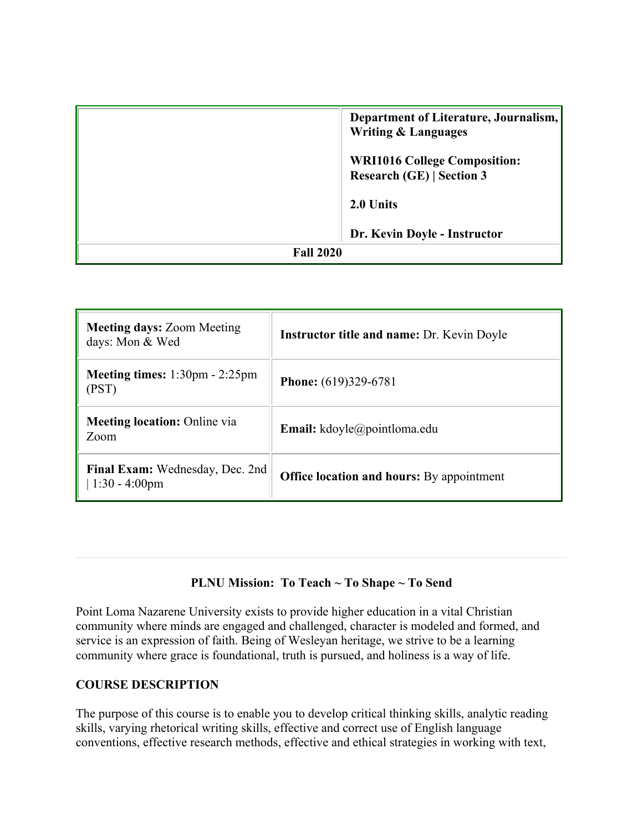|                  | Department of Literature, Journalism,<br><b>Writing &amp; Languages</b> |
|------------------|-------------------------------------------------------------------------|
|                  | <b>WRI1016 College Composition:</b><br><b>Research (GE)   Section 3</b> |
|                  | 2.0 Units                                                               |
|                  | Dr. Kevin Doyle - Instructor                                            |
| <b>Fall 2020</b> |                                                                         |

| <b>Meeting days: Zoom Meeting</b><br>days: Mon & Wed             | <b>Instructor title and name: Dr. Kevin Doyle</b> |
|------------------------------------------------------------------|---------------------------------------------------|
| <b>Meeting times:</b> $1:30 \text{pm} - 2:25 \text{pm}$<br>(PST) | <b>Phone:</b> (619)329-6781                       |
| <b>Meeting location:</b> Online via<br>Zoom                      | Email: kdoyle@pointloma.edu                       |
| Final Exam: Wednesday, Dec. 2nd<br>$1:30 - 4:00 \text{pm}$       | <b>Office location and hours:</b> By appointment  |

#### **PLNU Mission: To Teach ~ To Shape ~ To Send**

Point Loma Nazarene University exists to provide higher education in a vital Christian community where minds are engaged and challenged, character is modeled and formed, and service is an expression of faith. Being of Wesleyan heritage, we strive to be a learning community where grace is foundational, truth is pursued, and holiness is a way of life.

#### **COURSE DESCRIPTION**

The purpose of this course is to enable you to develop critical thinking skills, analytic reading skills, varying rhetorical writing skills, effective and correct use of English language conventions, effective research methods, effective and ethical strategies in working with text,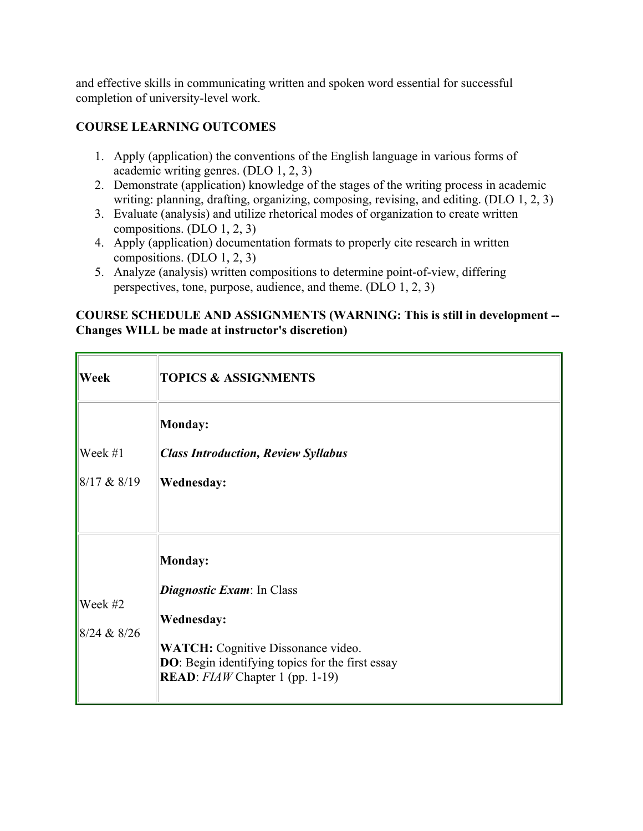and effective skills in communicating written and spoken word essential for successful completion of university-level work.

## **COURSE LEARNING OUTCOMES**

- 1. Apply (application) the conventions of the English language in various forms of academic writing genres. (DLO 1, 2, 3)
- 2. Demonstrate (application) knowledge of the stages of the writing process in academic writing: planning, drafting, organizing, composing, revising, and editing. (DLO 1, 2, 3)
- 3. Evaluate (analysis) and utilize rhetorical modes of organization to create written compositions. (DLO 1, 2, 3)
- 4. Apply (application) documentation formats to properly cite research in written compositions. (DLO 1, 2, 3)
- 5. Analyze (analysis) written compositions to determine point-of-view, differing perspectives, tone, purpose, audience, and theme. (DLO 1, 2, 3)

#### **COURSE SCHEDULE AND ASSIGNMENTS (WARNING: This is still in development -- Changes WILL be made at instructor's discretion)**

| Week                   | <b>TOPICS &amp; ASSIGNMENTS</b>                                                                                                                                                                                |
|------------------------|----------------------------------------------------------------------------------------------------------------------------------------------------------------------------------------------------------------|
| Week #1<br>8/17 & 8/19 | Monday:<br><b>Class Introduction, Review Syllabus</b><br><b>Wednesday:</b>                                                                                                                                     |
| Week #2<br>8/24 & 8/26 | Monday:<br><i>Diagnostic Exam:</i> In Class<br><b>Wednesday:</b><br><b>WATCH:</b> Cognitive Dissonance video.<br>DO: Begin identifying topics for the first essay<br><b>READ</b> : $FIAW$ Chapter 1 (pp. 1-19) |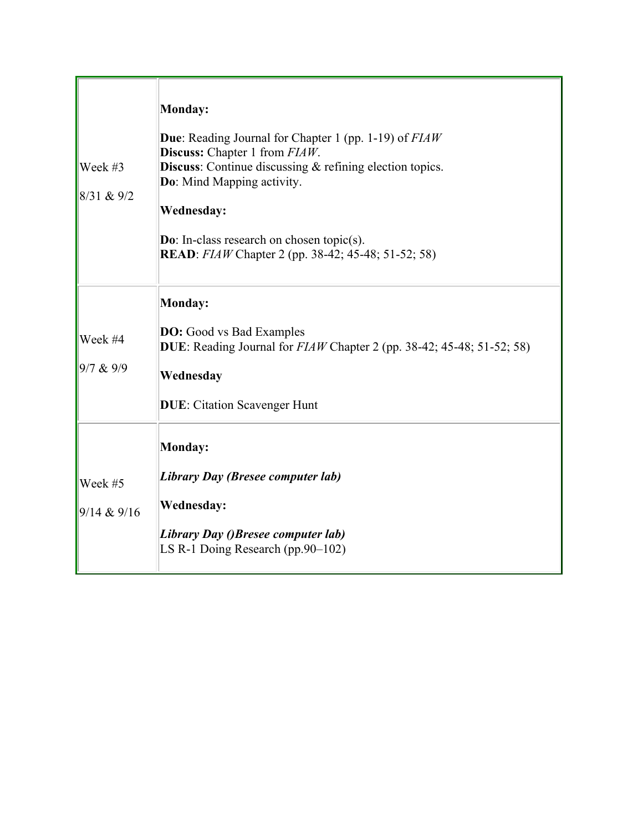| Week #3<br>$ 8/31 \& 9/2$ | Monday:<br><b>Due:</b> Reading Journal for Chapter 1 (pp. 1-19) of <i>FIAW</i><br><b>Discuss:</b> Chapter 1 from FIAW.<br><b>Discuss:</b> Continue discussing $\&$ refining election topics.<br>Do: Mind Mapping activity.<br><b>Wednesday:</b><br><b>Do:</b> In-class research on chosen topic(s).<br><b>READ</b> : <i>FIAW</i> Chapter 2 (pp. 38-42; 45-48; 51-52; 58) |
|---------------------------|--------------------------------------------------------------------------------------------------------------------------------------------------------------------------------------------------------------------------------------------------------------------------------------------------------------------------------------------------------------------------|
| Week #4<br>9/7 & 9/9      | Monday:<br><b>DO:</b> Good vs Bad Examples<br>DUE: Reading Journal for $FIAW$ Chapter 2 (pp. 38-42; 45-48; 51-52; 58)<br>Wednesday<br><b>DUE:</b> Citation Scavenger Hunt                                                                                                                                                                                                |
| Week #5<br>9/14 & 9/16    | Monday:<br>Library Day (Bresee computer lab)<br><b>Wednesday:</b><br>Library Day ()Bresee computer lab)<br>LS R-1 Doing Research (pp.90–102)                                                                                                                                                                                                                             |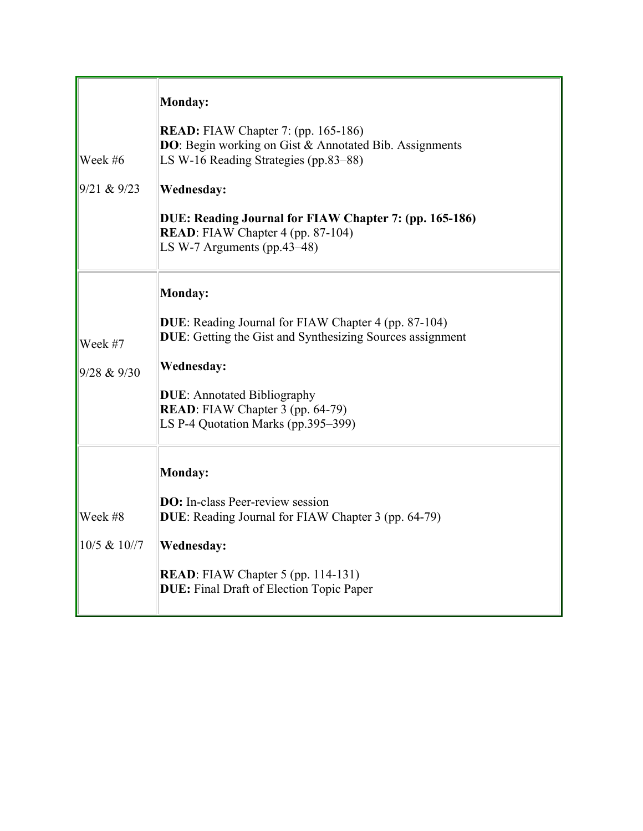| Week #6<br>9/21 & 9/23     | Monday:<br><b>READ:</b> FIAW Chapter 7: (pp. 165-186)<br><b>DO</b> : Begin working on Gist & Annotated Bib. Assignments<br>LS W-16 Reading Strategies (pp.83–88)<br>Wednesday:<br>DUE: Reading Journal for FIAW Chapter 7: (pp. 165-186)<br><b>READ:</b> FIAW Chapter 4 (pp. 87-104)<br>LS W-7 Arguments (pp.43-48) |
|----------------------------|---------------------------------------------------------------------------------------------------------------------------------------------------------------------------------------------------------------------------------------------------------------------------------------------------------------------|
| Week #7<br>9/28 & 9/30     | Monday:<br><b>DUE:</b> Reading Journal for FIAW Chapter 4 (pp. 87-104)<br><b>DUE:</b> Getting the Gist and Synthesizing Sources assignment<br><b>Wednesday:</b><br><b>DUE:</b> Annotated Bibliography<br><b>READ</b> : FIAW Chapter 3 (pp. 64-79)<br>LS P-4 Quotation Marks (pp.395–399)                            |
| Week #8<br>$10/5$ & $10/7$ | <b>Monday:</b><br><b>DO:</b> In-class Peer-review session<br>DUE: Reading Journal for FIAW Chapter 3 (pp. 64-79)<br>Wednesday:<br><b>READ:</b> FIAW Chapter 5 (pp. 114-131)<br><b>DUE:</b> Final Draft of Election Topic Paper                                                                                      |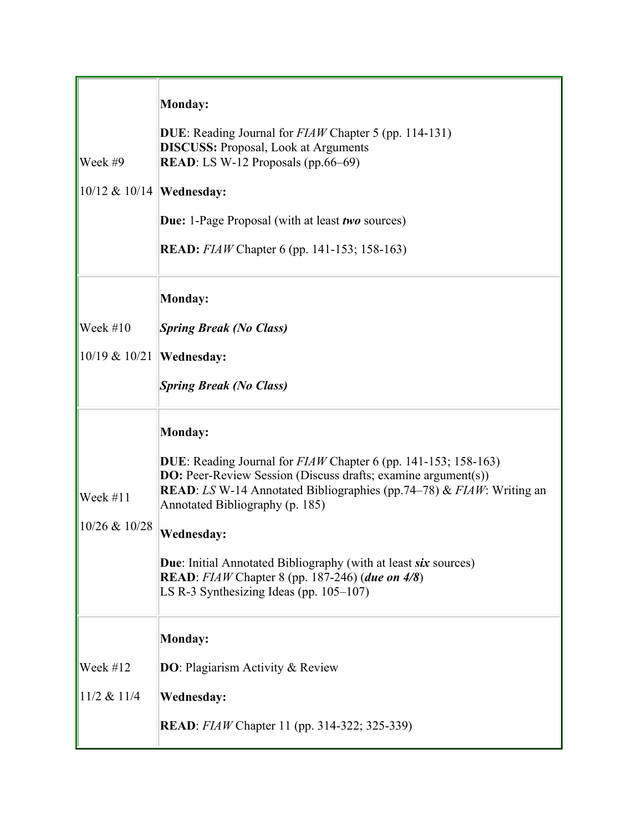|                               | Monday:                                                                                                                                                                                    |
|-------------------------------|--------------------------------------------------------------------------------------------------------------------------------------------------------------------------------------------|
|                               | <b>DUE</b> : Reading Journal for <i>FIAW</i> Chapter 5 (pp. 114-131)<br><b>DISCUSS:</b> Proposal, Look at Arguments                                                                        |
| Week #9                       | <b>READ</b> : LS W-12 Proposals (pp.66–69)                                                                                                                                                 |
| $ 10/12 \& 10/14 $ Wednesday: |                                                                                                                                                                                            |
|                               | <b>Due:</b> 1-Page Proposal (with at least <i>two</i> sources)                                                                                                                             |
|                               | <b>READ:</b> <i>FIAW</i> Chapter 6 (pp. 141-153; 158-163)                                                                                                                                  |
|                               | Monday:                                                                                                                                                                                    |
| Week $#10$                    | <b>Spring Break (No Class)</b>                                                                                                                                                             |
| $ 10/19 \& 10/21 $            | <b>Wednesday:</b>                                                                                                                                                                          |
|                               | <b>Spring Break (No Class)</b>                                                                                                                                                             |
|                               | <b>Monday:</b>                                                                                                                                                                             |
|                               | DUE: Reading Journal for FIAW Chapter 6 (pp. 141-153; 158-163)                                                                                                                             |
| Week $#11$                    | <b>DO:</b> Peer-Review Session (Discuss drafts; examine argument(s))<br><b>READ</b> : LS W-14 Annotated Bibliographies (pp.74–78) & $FIAW$ : Writing an<br>Annotated Bibliography (p. 185) |
| 10/26 & 10/28                 | <b>Wednesday:</b>                                                                                                                                                                          |
|                               | <b>Due:</b> Initial Annotated Bibliography (with at least six sources)                                                                                                                     |
|                               | <b>READ</b> : FIAW Chapter 8 (pp. 187-246) (due on 4/8)<br>LS R-3 Synthesizing Ideas (pp. $105-107$ )                                                                                      |
|                               | Monday:                                                                                                                                                                                    |
|                               |                                                                                                                                                                                            |
| Week #12                      | <b>DO</b> : Plagiarism Activity & Review                                                                                                                                                   |
| $11/2$ & $11/4$               | <b>Wednesday:</b>                                                                                                                                                                          |
|                               | <b>READ</b> : <i>FIAW</i> Chapter 11 (pp. 314-322; 325-339)                                                                                                                                |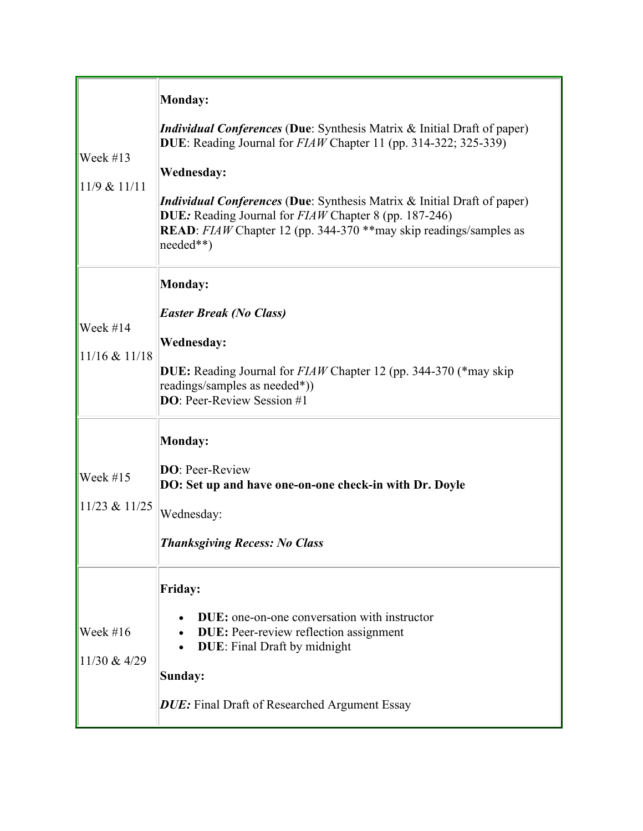| Week $#13$<br>$11/9$ & $11/11$  | Monday:<br><i>Individual Conferences</i> (Due: Synthesis Matrix & Initial Draft of paper)<br>DUE: Reading Journal for $FIAW$ Chapter 11 (pp. 314-322; 325-339)<br>Wednesday:<br><i>Individual Conferences</i> (Due: Synthesis Matrix & Initial Draft of paper)<br><b>DUE:</b> Reading Journal for <i>FIAW</i> Chapter 8 (pp. 187-246)<br><b>READ</b> : FIAW Chapter 12 (pp. 344-370 ** may skip readings/samples as<br>$ needed**)$ |
|---------------------------------|-------------------------------------------------------------------------------------------------------------------------------------------------------------------------------------------------------------------------------------------------------------------------------------------------------------------------------------------------------------------------------------------------------------------------------------|
| Week #14<br>$11/16$ & $11/18$   | <b>Monday:</b><br><b>Easter Break (No Class)</b><br><b>Wednesday:</b><br><b>DUE:</b> Reading Journal for <i>FIAW</i> Chapter 12 (pp. 344-370 (*may skip)<br>readings/samples as needed*))<br><b>DO:</b> Peer-Review Session #1                                                                                                                                                                                                      |
| Week $#15$<br>$11/23$ & $11/25$ | Monday:<br><b>DO</b> : Peer-Review<br>DO: Set up and have one-on-one check-in with Dr. Doyle<br>Wednesday:<br><b>Thanksgiving Recess: No Class</b>                                                                                                                                                                                                                                                                                  |
| Week $#16$<br>11/30 & 4/29      | <b>Friday:</b><br><b>DUE</b> : one-on-one conversation with instructor<br><b>DUE:</b> Peer-review reflection assignment<br><b>DUE:</b> Final Draft by midnight<br>Sunday:<br><b>DUE:</b> Final Draft of Researched Argument Essay                                                                                                                                                                                                   |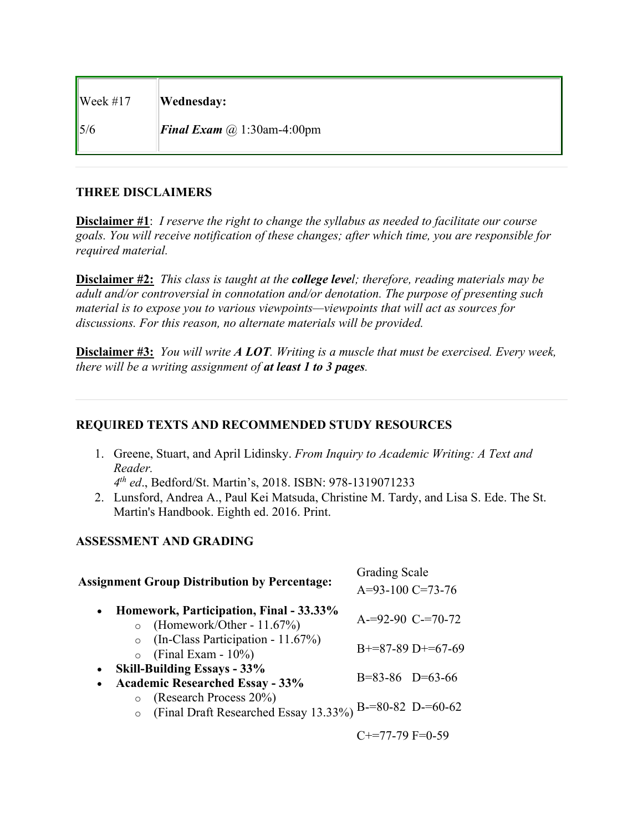| $\sqrt{\text{Week #17}}$ | Wednesday:                               |
|--------------------------|------------------------------------------|
| 15/6                     | <b>Final Exam</b> $\omega$ 1:30am-4:00pm |

#### **THREE DISCLAIMERS**

**Disclaimer #1**: *I reserve the right to change the syllabus as needed to facilitate our course goals. You will receive notification of these changes; after which time, you are responsible for required material.*

**Disclaimer #2:** *This class is taught at the college level; therefore, reading materials may be adult and/or controversial in connotation and/or denotation. The purpose of presenting such material is to expose you to various viewpoints—viewpoints that will act as sources for discussions. For this reason, no alternate materials will be provided.*

**Disclaimer #3:** *You will write A LOT. Writing is a muscle that must be exercised. Every week, there will be a writing assignment of at least 1 to 3 pages.*

## **REQUIRED TEXTS AND RECOMMENDED STUDY RESOURCES**

1. Greene, Stuart, and April Lidinsky. *From Inquiry to Academic Writing: A Text and Reader.*

*4th ed*., Bedford/St. Martin's, 2018. ISBN: 978-1319071233

2. Lunsford, Andrea A., Paul Kei Matsuda, Christine M. Tardy, and Lisa S. Ede. The St. Martin's Handbook. Eighth ed. 2016. Print.

## **ASSESSMENT AND GRADING**

| <b>Assignment Group Distribution by Percentage:</b>                                          | <b>Grading Scale</b><br>$A=93-100$ C=73-76 |                     |
|----------------------------------------------------------------------------------------------|--------------------------------------------|---------------------|
| Homework, Participation, Final - 33.33%<br>$\bullet$<br>(Homework/Other - 11.67%)            | $A = 92 - 90$ C $= 70 - 72$                |                     |
| (In-Class Participation - 11.67%)<br>(Final Exam - $10\%$ )<br>$\circ$                       |                                            | $B+=87-89$ D+=67-69 |
| <b>Skill-Building Essays - 33%</b><br>$\bullet$<br><b>Academic Researched Essay - 33%</b>    | $B=83-86$ $D=63-66$                        |                     |
| (Research Process 20%)<br>$\circ$<br>(Final Draft Researched Essay 13.33%) B-=80-82 D-=60-62 |                                            |                     |
|                                                                                              | $C+=77-79$ F=0-59                          |                     |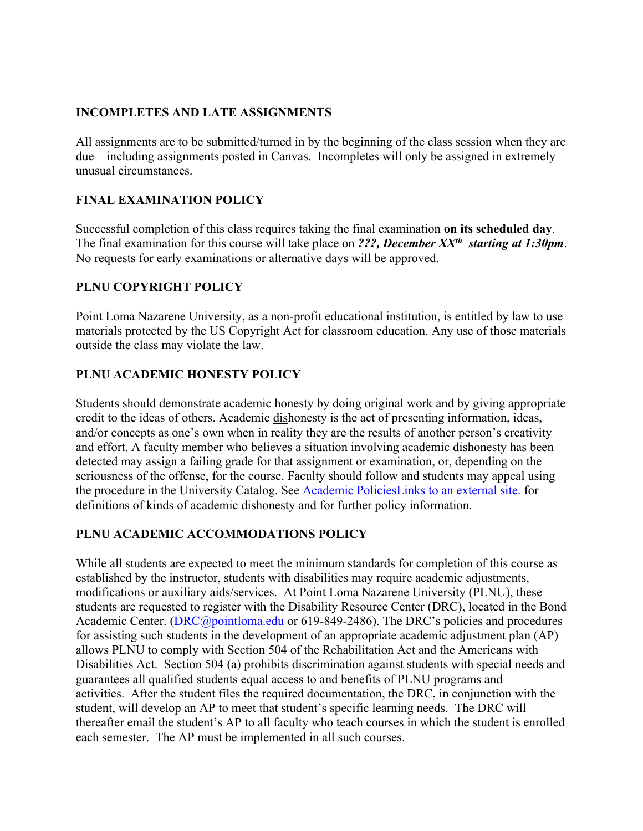#### **INCOMPLETES AND LATE ASSIGNMENTS**

All assignments are to be submitted/turned in by the beginning of the class session when they are due—including assignments posted in Canvas. Incompletes will only be assigned in extremely unusual circumstances.

## **FINAL EXAMINATION POLICY**

Successful completion of this class requires taking the final examination **on its scheduled day**. The final examination for this course will take place on *???, December XXth starting at 1:30pm*. No requests for early examinations or alternative days will be approved.

## **PLNU COPYRIGHT POLICY**

Point Loma Nazarene University, as a non-profit educational institution, is entitled by law to use materials protected by the US Copyright Act for classroom education. Any use of those materials outside the class may violate the law.

### **PLNU ACADEMIC HONESTY POLICY**

Students should demonstrate academic honesty by doing original work and by giving appropriate credit to the ideas of others. Academic dishonesty is the act of presenting information, ideas, and/or concepts as one's own when in reality they are the results of another person's creativity and effort. A faculty member who believes a situation involving academic dishonesty has been detected may assign a failing grade for that assignment or examination, or, depending on the seriousness of the offense, for the course. Faculty should follow and students may appeal using the procedure in the University Catalog. See Academic PoliciesLinks to an external site. for definitions of kinds of academic dishonesty and for further policy information.

## **PLNU ACADEMIC ACCOMMODATIONS POLICY**

While all students are expected to meet the minimum standards for completion of this course as established by the instructor, students with disabilities may require academic adjustments, modifications or auxiliary aids/services. At Point Loma Nazarene University (PLNU), these students are requested to register with the Disability Resource Center (DRC), located in the Bond Academic Center. (DRC@pointloma.edu or 619-849-2486). The DRC's policies and procedures for assisting such students in the development of an appropriate academic adjustment plan (AP) allows PLNU to comply with Section 504 of the Rehabilitation Act and the Americans with Disabilities Act. Section 504 (a) prohibits discrimination against students with special needs and guarantees all qualified students equal access to and benefits of PLNU programs and activities. After the student files the required documentation, the DRC, in conjunction with the student, will develop an AP to meet that student's specific learning needs. The DRC will thereafter email the student's AP to all faculty who teach courses in which the student is enrolled each semester. The AP must be implemented in all such courses.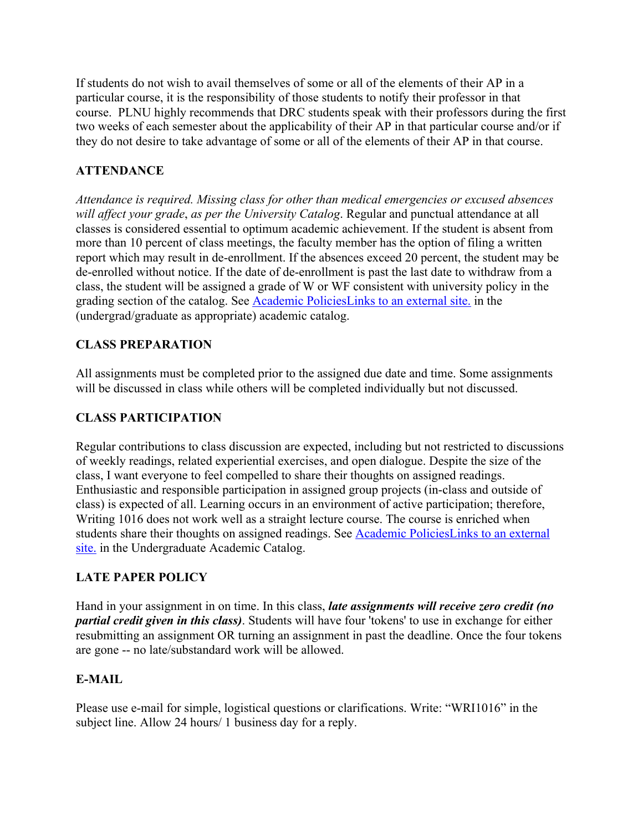If students do not wish to avail themselves of some or all of the elements of their AP in a particular course, it is the responsibility of those students to notify their professor in that course. PLNU highly recommends that DRC students speak with their professors during the first two weeks of each semester about the applicability of their AP in that particular course and/or if they do not desire to take advantage of some or all of the elements of their AP in that course.

# **ATTENDANCE**

*Attendance is required. Missing class for other than medical emergencies or excused absences will affect your grade*, *as per the University Catalog*. Regular and punctual attendance at all classes is considered essential to optimum academic achievement. If the student is absent from more than 10 percent of class meetings, the faculty member has the option of filing a written report which may result in de-enrollment. If the absences exceed 20 percent, the student may be de-enrolled without notice. If the date of de-enrollment is past the last date to withdraw from a class, the student will be assigned a grade of W or WF consistent with university policy in the grading section of the catalog. See Academic PoliciesLinks to an external site. in the (undergrad/graduate as appropriate) academic catalog.

## **CLASS PREPARATION**

All assignments must be completed prior to the assigned due date and time. Some assignments will be discussed in class while others will be completed individually but not discussed.

## **CLASS PARTICIPATION**

Regular contributions to class discussion are expected, including but not restricted to discussions of weekly readings, related experiential exercises, and open dialogue. Despite the size of the class, I want everyone to feel compelled to share their thoughts on assigned readings. Enthusiastic and responsible participation in assigned group projects (in-class and outside of class) is expected of all. Learning occurs in an environment of active participation; therefore, Writing 1016 does not work well as a straight lecture course. The course is enriched when students share their thoughts on assigned readings. See Academic PoliciesLinks to an external site. in the Undergraduate Academic Catalog.

## **LATE PAPER POLICY**

Hand in your assignment in on time. In this class, *late assignments will receive zero credit (no partial credit given in this class)*. Students will have four 'tokens' to use in exchange for either resubmitting an assignment OR turning an assignment in past the deadline. Once the four tokens are gone -- no late/substandard work will be allowed.

## **E-MAIL**

Please use e-mail for simple, logistical questions or clarifications. Write: "WRI1016" in the subject line. Allow 24 hours/ 1 business day for a reply.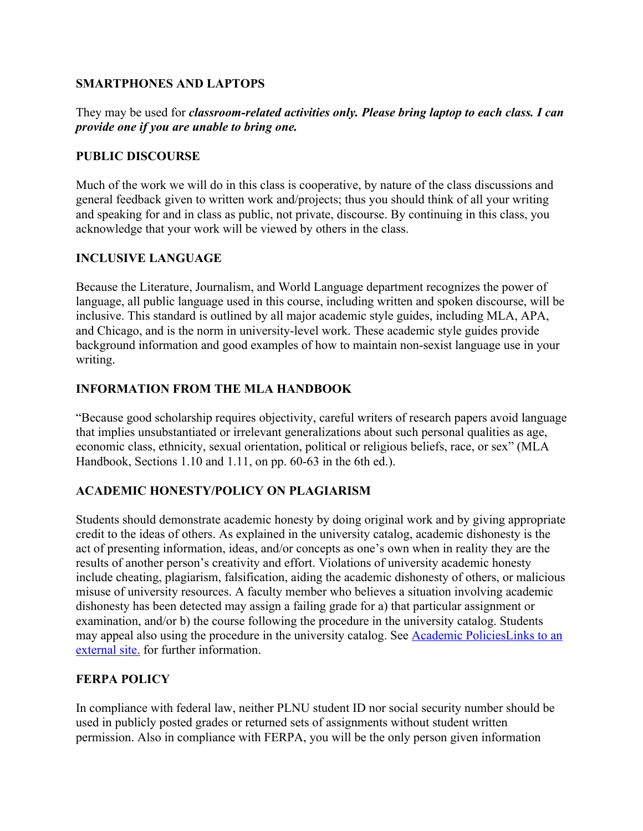#### **SMARTPHONES AND LAPTOPS**

They may be used for *classroom-related activities only. Please bring laptop to each class. I can provide one if you are unable to bring one.*

#### **PUBLIC DISCOURSE**

Much of the work we will do in this class is cooperative, by nature of the class discussions and general feedback given to written work and/projects; thus you should think of all your writing and speaking for and in class as public, not private, discourse. By continuing in this class, you acknowledge that your work will be viewed by others in the class.

#### **INCLUSIVE LANGUAGE**

Because the Literature, Journalism, and World Language department recognizes the power of language, all public language used in this course, including written and spoken discourse, will be inclusive. This standard is outlined by all major academic style guides, including MLA, APA, and Chicago, and is the norm in university-level work. These academic style guides provide background information and good examples of how to maintain non-sexist language use in your writing.

#### **INFORMATION FROM THE MLA HANDBOOK**

"Because good scholarship requires objectivity, careful writers of research papers avoid language that implies unsubstantiated or irrelevant generalizations about such personal qualities as age, economic class, ethnicity, sexual orientation, political or religious beliefs, race, or sex" (MLA Handbook, Sections 1.10 and 1.11, on pp. 60-63 in the 6th ed.).

#### **ACADEMIC HONESTY/POLICY ON PLAGIARISM**

Students should demonstrate academic honesty by doing original work and by giving appropriate credit to the ideas of others. As explained in the university catalog, academic dishonesty is the act of presenting information, ideas, and/or concepts as one's own when in reality they are the results of another person's creativity and effort. Violations of university academic honesty include cheating, plagiarism, falsification, aiding the academic dishonesty of others, or malicious misuse of university resources. A faculty member who believes a situation involving academic dishonesty has been detected may assign a failing grade for a) that particular assignment or examination, and/or b) the course following the procedure in the university catalog. Students may appeal also using the procedure in the university catalog. See Academic PoliciesLinks to an external site. for further information.

#### **FERPA POLICY**

In compliance with federal law, neither PLNU student ID nor social security number should be used in publicly posted grades or returned sets of assignments without student written permission. Also in compliance with FERPA, you will be the only person given information